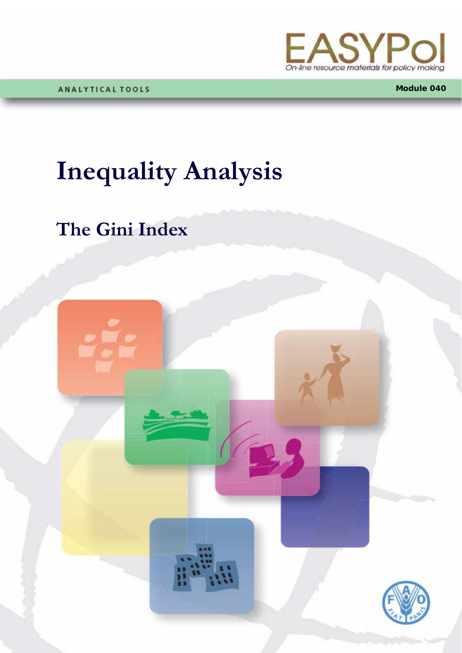

**Module 040**

## **Inequality Analysis**

### **The Gini Index**

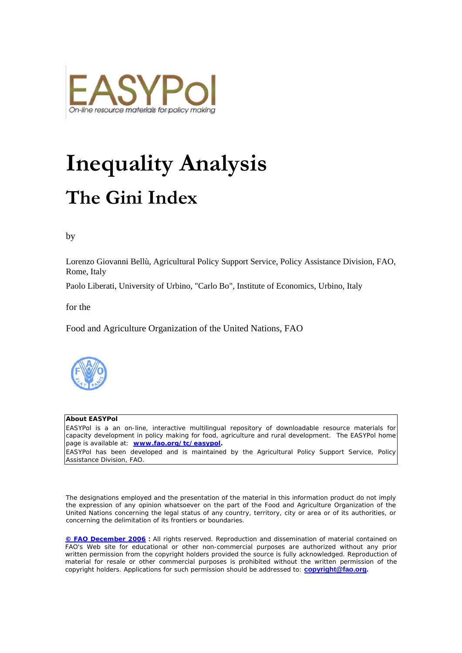

# **Inequality Analysis The Gini Index**

by

Lorenzo Giovanni Bellù, Agricultural Policy Support Service, Policy Assistance Division, FAO, Rome, Italy

Paolo Liberati, University of Urbino, "Carlo Bo", Institute of Economics, Urbino, Italy

for the

Food and Agriculture Organization of the United Nations, FAO



#### **About EASYPol**

EASYPol is a an on-line, interactive multilingual repository of downloadable resource materials for capacity development in policy making for food, agriculture and rural development. The EASYPol home page is available at: *[www.fao.org/tc/easypol](http://www.fao.org/tc/easypol).*

EASYPol has been developed and is maintained by the Agricultural Policy Support Service, Policy Assistance Division, FAO.

The designations employed and the presentation of the material in this information product do not imply the expression of any opinion whatsoever on the part of the Food and Agriculture Organization of the United Nations concerning the legal status of any country, territory, city or area or of its authorities, or concerning the delimitation of its frontiers or boundaries.

**[© FAO December 2006](http://www.fao.org/copyright_EN.htm) :** All rights reserved. Reproduction and dissemination of material contained on FAO's Web site for educational or other non-commercial purposes are authorized without any prior written permission from the copyright holders provided the source is fully acknowledged. Reproduction of material for resale or other commercial purposes is prohibited without the written permission of the copyright holders. Applications for such permission should be addressed to: **[copyright@fao.org.](mailto:copyright@fao.org)**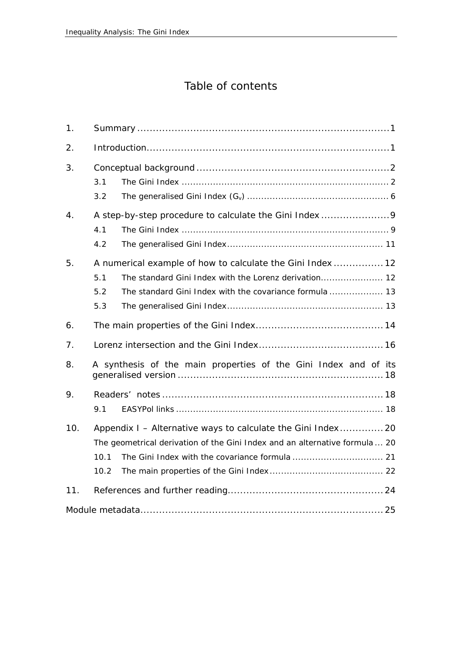### Table of contents

| 1.  |                                                                 |                                                                                                                                            |  |  |  |  |  |
|-----|-----------------------------------------------------------------|--------------------------------------------------------------------------------------------------------------------------------------------|--|--|--|--|--|
| 2.  |                                                                 |                                                                                                                                            |  |  |  |  |  |
| 3.  | 3.1<br>3.2                                                      |                                                                                                                                            |  |  |  |  |  |
| 4.  | 4.1<br>4.2                                                      | A step-by-step procedure to calculate the Gini Index 9                                                                                     |  |  |  |  |  |
| 5.  | 5.1<br>5.2<br>5.3                                               | A numerical example of how to calculate the Gini Index  12<br>The standard Gini Index with the covariance formula  13                      |  |  |  |  |  |
| 6.  |                                                                 |                                                                                                                                            |  |  |  |  |  |
| 7.  |                                                                 |                                                                                                                                            |  |  |  |  |  |
| 8.  | A synthesis of the main properties of the Gini Index and of its |                                                                                                                                            |  |  |  |  |  |
| 9.  | 9.1                                                             |                                                                                                                                            |  |  |  |  |  |
| 10. | 10.1<br>10.2                                                    | Appendix I - Alternative ways to calculate the Gini Index 20<br>The geometrical derivation of the Gini Index and an alternative formula 20 |  |  |  |  |  |
| 11. |                                                                 |                                                                                                                                            |  |  |  |  |  |
|     |                                                                 |                                                                                                                                            |  |  |  |  |  |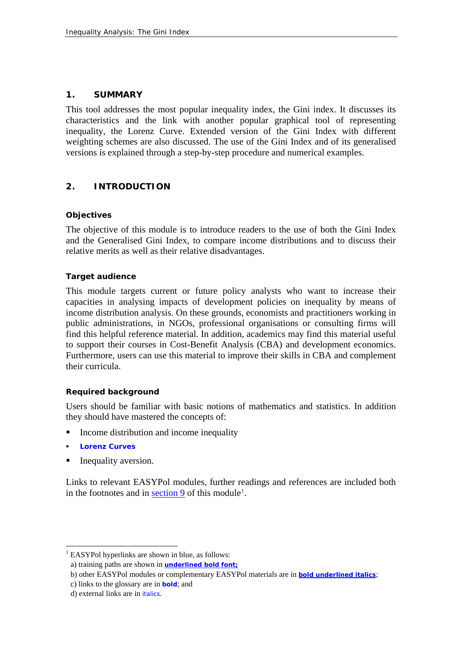#### **1. SUMMARY**

This tool addresses the most popular inequality index, the Gini index. It discusses its characteristics and the link with another popular graphical tool of representing inequality, the Lorenz Curve. Extended version of the Gini Index with different weighting schemes are also discussed. The use of the Gini Index and of its generalised versions is explained through a step-by-step procedure and numerical examples.

#### **2. INTRODUCTION**

#### **Objectives**

The objective of this module is to introduce readers to the use of both the Gini Index and the Generalised Gini Index, to compare income distributions and to discuss their relative merits as well as their relative disadvantages.

#### **Target audience**

This module targets current or future policy analysts who want to increase their capacities in analysing impacts of development policies on inequality by means of income distribution analysis. On these grounds, economists and practitioners working in public administrations, in NGOs, professional organisations or consulting firms will find this helpful reference material. In addition, academics may find this material useful to support their courses in Cost-Benefit Analysis (CBA) and development economics. Furthermore, users can use this material to improve their skills in CBA and complement their curricula.

#### **Required background**

Users should be familiar with basic notions of mathematics and statistics. In addition they should have mastered the concepts of:

- Income distribution and income inequality
- **[Lorenz Curves](http://www.fao.org/tc/easypol/output/glossary_term.asp?id=14901)**

 $\overline{a}$ 

Inequality aversion.

Links to relevant EASYPol modules, further readings and references are included both in the footnotes and in  $\frac{\text{section } 9}{\text{section } 9}$  of this module<sup>[1](#page-4-0)</sup>.

<span id="page-4-0"></span><sup>&</sup>lt;sup>1</sup> EASYPol hyperlinks are shown in blue, as follows:

a) training paths are shown in **underlined bold font;** 

b) other EASYPol modules or complementary EASYPol materials are in *bold underlined italics*;

c) links to the glossary are in **bold**; and

d) external links are in *italics*.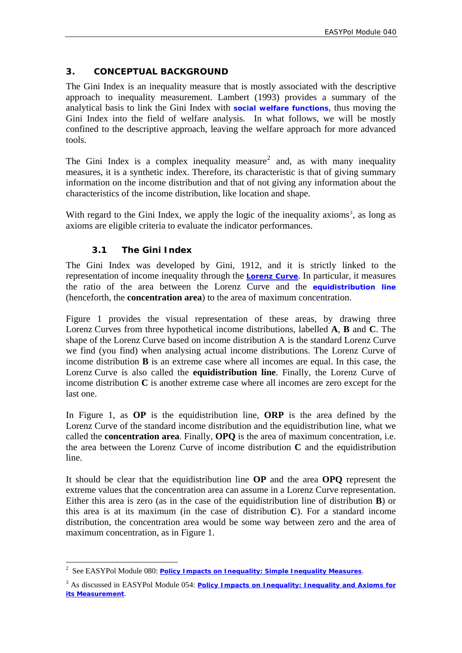#### <span id="page-5-2"></span>**3. CONCEPTUAL BACKGROUND**

The Gini Index is an inequality measure that is mostly associated with the descriptive approach to inequality measurement. Lambert (1993) provides a summary of the analytical basis to link the Gini Index with **[social welfare functions](http://www.fao.org/tc/easypol/output/glossary_term.asp?id=14941)**, thus moving the Gini Index into the field of welfare analysis. In what follows, we will be mostly confined to the descriptive approach, leaving the welfare approach for more advanced tools.

The Gini Index is a complex inequality measure<sup>[2](#page-5-0)</sup> and, as with many inequality measures, it is a synthetic index. Therefore, its characteristic is that of giving summary information on the income distribution and that of not giving any information about the characteristics of the income distribution, like location and shape.

With regard to the Gini Index, we apply the logic of the inequality axioms<sup>[3](#page-5-1)</sup>, as long as axioms are eligible criteria to evaluate the indicator performances.

#### **3.1 The Gini Index**

 $\overline{a}$ 

The Gini Index was developed by Gini, 1912, and it is strictly linked to the representation of income inequality through the **[Lorenz Curve](http://www.fao.org/tc/easypol/output/glossary_term.asp?id=14901)**. In particular, it measures the ratio of the area between the Lorenz Curve and the **[equidistribution line](http://www.fao.org/tc/easypol/output/glossary_term.asp?id=14921)** (henceforth, the **concentration area**) to the area of maximum concentration.

Figure 1 provides the visual representation of these areas, by drawing three Lorenz Curves from three hypothetical income distributions, labelled **A**, **B** and **C**. The shape of the Lorenz Curve based on income distribution A is the standard Lorenz Curve we find (you find) when analysing actual income distributions. The Lorenz Curve of income distribution **B** is an extreme case where all incomes are equal. In this case, the Lorenz Curve is also called the **equidistribution line**. Finally, the Lorenz Curve of income distribution **C** is another extreme case where all incomes are zero except for the last one.

In Figure 1, as **OP** is the equidistribution line, **ORP** is the area defined by the Lorenz Curve of the standard income distribution and the equidistribution line, what we called the **concentration area**. Finally, **OPQ** is the area of maximum concentration, i.e. the area between the Lorenz Curve of income distribution **C** and the equidistribution line.

It should be clear that the equidistribution line **OP** and the area **OPQ** represent the extreme values that the concentration area can assume in a Lorenz Curve representation. Either this area is zero (as in the case of the equidistribution line of distribution **B**) or this area is at its maximum (in the case of distribution **C**). For a standard income distribution, the concentration area would be some way between zero and the area of maximum concentration, as in Figure 1.

<span id="page-5-0"></span><sup>2</sup> See EASYPol Module 080: *[Policy Impacts on Inequality: Simple Inequality Measures](http://www/docs/up/easypol/448/simple_inequality_mesures_080EN.pdf)*.

<span id="page-5-1"></span><sup>&</sup>lt;sup>3</sup> As discussed in EASYPol Module 054: *Policy Impacts on Inequality: Inequality and Axioms for [its Measurement](http://www/docs/up/easypol/447/Inqulty_axms_msrmnt_054EN.pdf)*.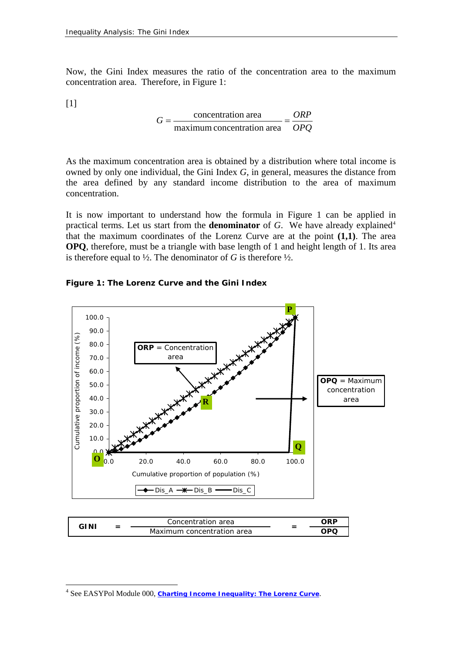Now, the Gini Index measures the ratio of the concentration area to the maximum concentration area. Therefore, in Figure 1:

[1]

 $\overline{a}$ 

$$
G = \frac{\text{concentration area}}{\text{maximum concentration area}} = \frac{ORP}{OPQ}
$$

As the maximum concentration area is obtained by a distribution where total income is owned by only one individual, the Gini Index *G*, in general, measures the distance from the area defined by any standard income distribution to the area of maximum concentration.

It is now important to understand how the formula in Figure 1 can be applied in practical terms. Let us start from the **denominator** of  $G$ . We have already explained<sup>[4](#page-6-0)</sup> that the maximum coordinates of the Lorenz Curve are at the point **(1,1)**. The area **OPQ**, therefore, must be a triangle with base length of 1 and height length of 1. Its area is therefore equal to  $\frac{1}{2}$ . The denominator of *G* is therefore  $\frac{1}{2}$ .

#### **Figure 1: The Lorenz Curve and the Gini Index**



| GINI | - | Concentration area         |                          | ORF |
|------|---|----------------------------|--------------------------|-----|
|      |   | Maximum concentration area | $\overline{\phantom{0}}$ | OPC |

<span id="page-6-0"></span><sup>&</sup>lt;sup>4</sup> See EASYPol Module 000, *[Charting Income Inequality: The Lorenz Curve](http://www.fao.org/docs/up/easypol/302/charting_income_inequality_000EN.pdf)*.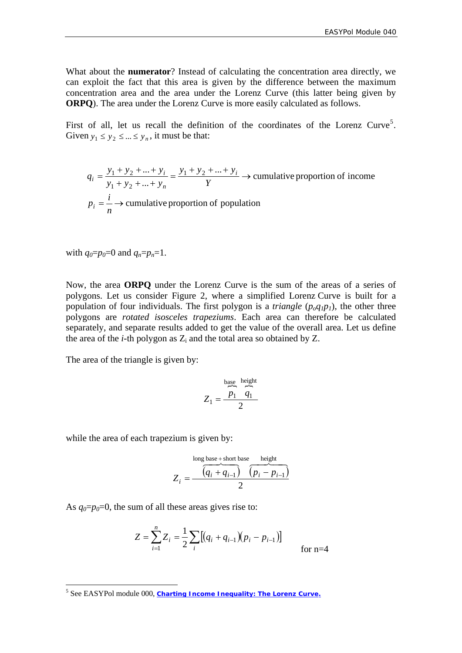What about the **numerator**? Instead of calculating the concentration area directly, we can exploit the fact that this area is given by the difference between the maximum concentration area and the area under the Lorenz Curve (this latter being given by **ORPQ**). The area under the Lorenz Curve is more easily calculated as follows.

First of all, let us recall the definition of the coordinates of the Lorenz Curve<sup>[5](#page-7-0)</sup>. Given  $y_1 \le y_2 \le ... \le y_n$ , it must be that:

 $=$   $\rightarrow$  cumulative proportion of population  $\frac{...+y_i}{...+y_i}$   $\rightarrow$  cumulative proportion of income ...  $... + y_i = y_1 + y_2$  $1 + y_2$  $= \frac{y_1 + y_2 + ... + y_i}{y_1 + y_2 + ... + y_n} = \frac{y_1 + y_2 + ... + y_i}{Y}$ *n*  $p_i = \frac{i}{i}$ *Y*  $y_1 + y_2 + ... + y_n$  $y_1 + y_2 + ... + y_n$  $q_i = \frac{y_1 + y_2 + ... + y_i}{...} = \frac{y_1 + y_2 + ... + y_i}{...}$ *n*  $i = \frac{y_1 + y_2 + ... + y_i}{... + y_i}$ 

with  $q_0=p_0=0$  and  $q_n=p_n=1$ .

Now, the area **ORPQ** under the Lorenz Curve is the sum of the areas of a series of polygons. Let us consider Figure 2, where a simplified Lorenz Curve is built for a population of four individuals. The first polygon is a *triangle*  $(p_o q_I p_I)$ , the other three polygons are *rotated isosceles trapeziums*. Each area can therefore be calculated separately, and separate results added to get the value of the overall area. Let us define the area of the *i*-th polygon as  $Z_i$  and the total area so obtained by  $Z_i$ .

The area of the triangle is given by:

$$
Z_1 = \frac{\frac{\text{base}}{\text{height}}}{2}
$$

while the area of each trapezium is given by:

long base + short base height  

$$
Z_i = \frac{\overbrace{(q_i + q_{i-1})}^{\text{long base}} \overbrace{(p_i - p_{i-1})}^{\text{height}}}{2}
$$

As  $q_0=p_0=0$ , the sum of all these areas gives rise to:

$$
Z = \sum_{i=1}^{n} Z_i = \frac{1}{2} \sum_{i} [(q_i + q_{i-1})(p_i - p_{i-1})]
$$
 for n=4

<span id="page-7-0"></span><sup>&</sup>lt;sup>5</sup> See EASYPol module 000, *[Charting Income Inequality: The Lorenz Curve.](http://www.fao.org/docs/up/easypol/302/charting_income_inequality_000EN.pdf)*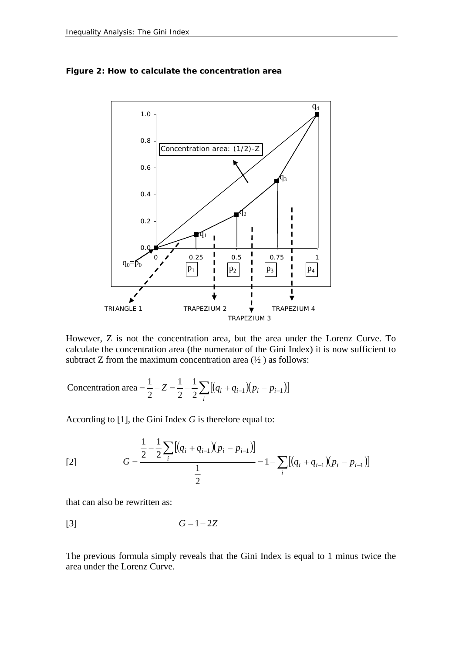

<span id="page-8-0"></span>**Figure 2: How to calculate the concentration area** 

However, Z is not the concentration area, but the area under the Lorenz Curve. To calculate the concentration area (the numerator of the Gini Index) it is now sufficient to subtract Z from the maximum concentration area  $(\frac{1}{2})$  as follows:

 $=\frac{1}{2}-Z=\frac{1}{2}-\frac{1}{2}\sum[(q_i+q_{i-1})(p_i-p_{i-1})]$  $Z = \frac{1}{2} - \frac{1}{2} \sum_{i} [(q_i + q_{i-1})(p_i - p_{i-1})]$ 2 1 2 Concentration area =  $\frac{1}{2} - Z = \frac{1}{2} - \frac{1}{2} \sum [(q_i + q_{i-1})(p_i - p_{i-1})]$ 

According to [1], the Gini Index *G* is therefore equal to:

[2] 
$$
G = \frac{\frac{1}{2} - \frac{1}{2} \sum_{i} [(q_i + q_{i-1})(p_i - p_{i-1})]}{\frac{1}{2}} = 1 - \sum_{i} [(q_i + q_{i-1})(p_i - p_{i-1})]
$$

that can also be rewritten as:

$$
G = 1 - 2Z
$$

The previous formula simply reveals that the Gini Index is equal to 1 minus twice the area under the Lorenz Curve.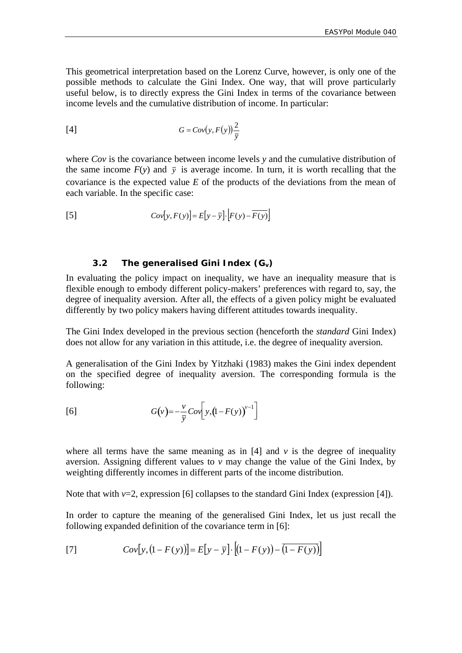<span id="page-9-0"></span>This geometrical interpretation based on the Lorenz Curve, however, is only one of the possible methods to calculate the Gini Index. One way, that will prove particularly useful below, is to directly express the Gini Index in terms of the covariance between income levels and the cumulative distribution of income. In particular:

$$
G = Cov(y, F(y)) \frac{2}{\bar{y}}
$$

where *Cov* is the covariance between income levels *y* and the cumulative distribution of the same income  $F(y)$  and  $\bar{y}$  is average income. In turn, it is worth recalling that the covariance is the expected value *E* of the products of the deviations from the mean of each variable. In the specific case:

$$
Cov[y, F(y)] = E[y - \overline{y}]\cdot[F(y) - \overline{F(y)}]
$$

#### **3.2** The generalised Gini Index (G<sub>v</sub>)

In evaluating the policy impact on inequality, we have an inequality measure that is flexible enough to embody different policy-makers' preferences with regard to, say, the degree of inequality aversion. After all, the effects of a given policy might be evaluated differently by two policy makers having different attitudes towards inequality.

The Gini Index developed in the previous section (henceforth the *standard* Gini Index) does not allow for any variation in this attitude, i.e. the degree of inequality aversion.

A generalisation of the Gini Index by Yitzhaki (1983) makes the Gini index dependent on the specified degree of inequality aversion. The corresponding formula is the following:

$$
[6] \qquad G(v) = -\frac{v}{\overline{y}}Cov\bigg[y, (1 - F(y))^{v-1}\bigg]
$$

where all terms have the same meaning as in  $[4]$  and  $\nu$  is the degree of inequality aversion. Assigning different values to  $v$  may change the value of the Gini Index, by weighting differently incomes in different parts of the income distribution.

Note that with *v*=2, expression [6] collapses to the standard Gini Index (expression [4]).

In order to capture the meaning of the generalised Gini Index, let us just recall the following expanded definition of the covariance term in [6]:

[7] 
$$
Cov[y, (1 - F(y))] = E[y - \overline{y}] \cdot [(1 - F(y)) - (1 - F(y))]
$$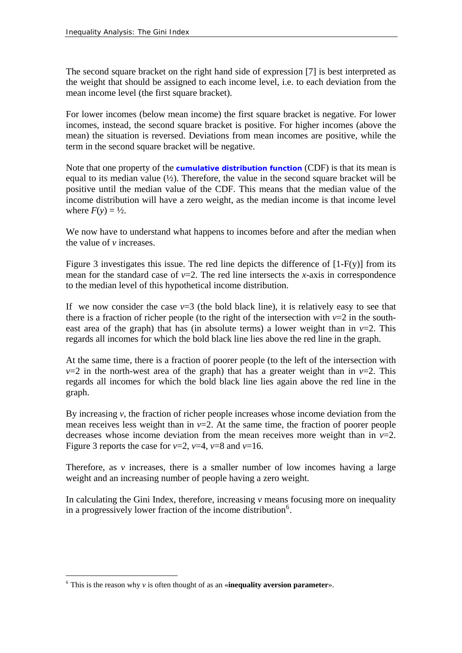The second square bracket on the right hand side of expression [7] is best interpreted as the weight that should be assigned to each income level, i.e. to each deviation from the mean income level (the first square bracket).

For lower incomes (below mean income) the first square bracket is negative. For lower incomes, instead, the second square bracket is positive. For higher incomes (above the mean) the situation is reversed. Deviations from mean incomes are positive, while the term in the second square bracket will be negative.

Note that one property of the **[cumulative distribution function](http://www.fao.org/tc/easypol/output/glossary_term.asp?id=15048)** (CDF) is that its mean is equal to its median value  $(½)$ . Therefore, the value in the second square bracket will be positive until the median value of the CDF. This means that the median value of the income distribution will have a zero weight, as the median income is that income level where  $F(v) = \frac{1}{2}$ .

We now have to understand what happens to incomes before and after the median when the value of *v* increases.

Figure 3 investigates this issue. The red line depicts the difference of  $[1-F(y)]$  from its mean for the standard case of  $\nu=2$ . The red line intersects the *x*-axis in correspondence to the median level of this hypothetical income distribution.

If we now consider the case  $v=3$  (the bold black line), it is relatively easy to see that there is a fraction of richer people (to the right of the intersection with  $v=2$  in the southeast area of the graph) that has (in absolute terms) a lower weight than in  $v=2$ . This regards all incomes for which the bold black line lies above the red line in the graph.

At the same time, there is a fraction of poorer people (to the left of the intersection with  $v=2$  in the north-west area of the graph) that has a greater weight than in  $v=2$ . This regards all incomes for which the bold black line lies again above the red line in the graph.

By increasing *v*, the fraction of richer people increases whose income deviation from the mean receives less weight than in  $v=2$ . At the same time, the fraction of poorer people decreases whose income deviation from the mean receives more weight than in *v*=2. Figure 3 reports the case for  $v=2$ ,  $v=4$ ,  $v=8$  and  $v=16$ .

Therefore, as *v* increases, there is a smaller number of low incomes having a large weight and an increasing number of people having a zero weight.

In calculating the Gini Index, therefore, increasing *v* means focusing more on inequality in a progressively lower fraction of the income distribution<sup>[6](#page-10-0)</sup>.

 $\overline{a}$ 

<span id="page-10-0"></span> $\delta$  This is the reason why *v* is often thought of as an «**inequality aversion parameter**».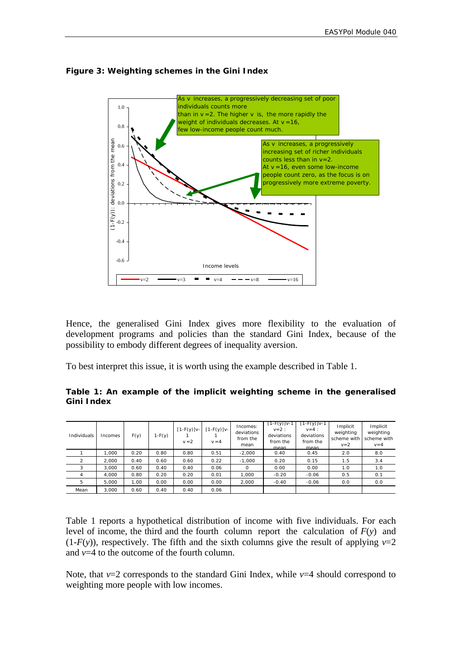

#### **Figure 3: Weighting schemes in the Gini Index**

Hence, the generalised Gini Index gives more flexibility to the evaluation of development programs and policies than the standard Gini Index, because of the possibility to embody different degrees of inequality aversion.

To best interpret this issue, it is worth using the example described in Table 1.

|            |  |  |  | Table 1: An example of the implicit weighting scheme in the generalised |
|------------|--|--|--|-------------------------------------------------------------------------|
| Gini Index |  |  |  |                                                                         |

| Individuals | Incomes | F(y) | $1-F(y)$ | $[1-F(y)]v-$<br>$v = 2$ | $[1-F(y)]v-$<br>$v = 4$ | Incomes:<br>deviations<br>from the<br>mean | $[1-F(y)]$ v-1<br>$v=2$ :<br>deviations<br>from the<br>mean | $[1 - F(y)]$ v-1<br>$v=4$ :<br>deviations<br>from the<br>mean | Implicit<br>weighting<br>scheme with<br>$v = 2$ | Implicit<br>weighting<br>scheme with<br>$v = 4$ |
|-------------|---------|------|----------|-------------------------|-------------------------|--------------------------------------------|-------------------------------------------------------------|---------------------------------------------------------------|-------------------------------------------------|-------------------------------------------------|
|             | 1.000   | 0.20 | 0.80     | 0.80                    | 0.51                    | $-2.000$                                   | 0.40                                                        | 0.45                                                          | 2.0                                             | 8.0                                             |
| 2           | 2.000   | 0.40 | 0.60     | 0.60                    | 0.22                    | $-1.000$                                   | 0.20                                                        | 0.15                                                          | 1.5                                             | 3.4                                             |
|             | 3.000   | 0.60 | 0.40     | 0.40                    | 0.06                    | $\Omega$                                   | 0.00                                                        | 0.00                                                          | 1.0                                             | 1.0                                             |
|             | 4.000   | 0.80 | 0.20     | 0.20                    | 0.01                    | 1.000                                      | $-0.20$                                                     | $-0.06$                                                       | 0.5                                             | 0.1                                             |
| 5           | 5,000   | 1.00 | 0.00     | 0.00                    | 0.00                    | 2.000                                      | $-0.40$                                                     | $-0.06$                                                       | 0.0                                             | 0.0                                             |
| Mean        | 3.000   | 0.60 | 0.40     | 0.40                    | 0.06                    |                                            |                                                             |                                                               |                                                 |                                                 |

Table 1 reports a hypothetical distribution of income with five individuals. For each level of income, the third and the fourth column report the calculation of *F*(*y*) and  $(1-F(y))$ , respectively. The fifth and the sixth columns give the result of applying  $v=2$ and *v*=4 to the outcome of the fourth column.

Note, that *v*=2 corresponds to the standard Gini Index, while *v*=4 should correspond to weighting more people with low incomes.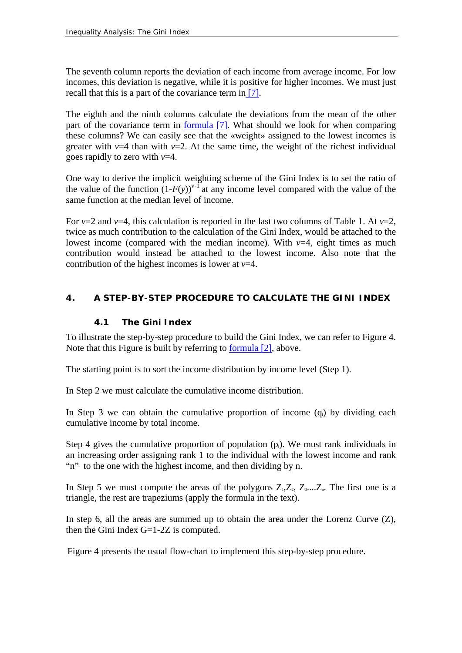The seventh column reports the deviation of each income from average income. For low incomes, this deviation is negative, while it is positive for higher incomes. We must just recall that this is a part of the covariance term in [\[7\].](#page-9-0)

The eighth and the ninth columns calculate the deviations from the mean of the other part of the covariance term in [formula \[7\]](#page-9-0). What should we look for when comparing these columns? We can easily see that the «weight» assigned to the lowest incomes is greater with  $v=4$  than with  $v=2$ . At the same time, the weight of the richest individual goes rapidly to zero with *v*=4.

One way to derive the implicit weighting scheme of the Gini Index is to set the ratio of the value of the function  $(1-F(y))^{v-1}$  at any income level compared with the value of the same function at the median level of income.

For  $v=2$  and  $v=4$ , this calculation is reported in the last two columns of Table 1. At  $v=2$ , twice as much contribution to the calculation of the Gini Index, would be attached to the lowest income (compared with the median income). With  $v=4$ , eight times as much contribution would instead be attached to the lowest income. Also note that the contribution of the highest incomes is lower at *v*=4.

#### **4. A STEP-BY-STEP PROCEDURE TO CALCULATE THE GINI INDEX**

#### **4.1 The Gini Index**

To illustrate the step-by-step procedure to build the Gini Index, we can refer to Figure 4. Note that this Figure is built by referring to [formula \[2\]](#page-8-0), above.

The starting point is to sort the income distribution by income level (Step 1).

In Step 2 we must calculate the cumulative income distribution.

In Step 3 we can obtain the cumulative proportion of income  $(q_i)$  by dividing each cumulative income by total income.

Step 4 gives the cumulative proportion of population  $(p_i)$ . We must rank individuals in an increasing order assigning rank 1 to the individual with the lowest income and rank "n" to the one with the highest income, and then dividing by n.

In Step 5 we must compute the areas of the polygons  $Z_1, Z_2, Z_3, \ldots, Z_n$ . The first one is a triangle, the rest are trapeziums (apply the formula in the text).

In step 6, all the areas are summed up to obtain the area under the Lorenz Curve  $(Z)$ , then the Gini Index  $G=1-2Z$  is computed.

Figure 4 presents the usual flow-chart to implement this step-by-step procedure.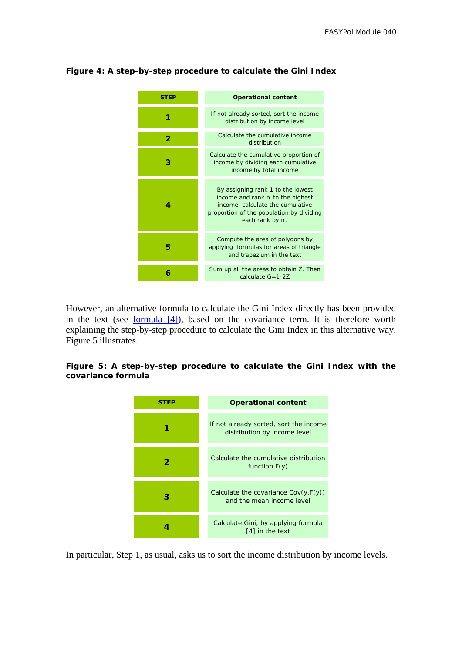#### **Figure 4: A step-by-step procedure to calculate the Gini Index**



However, an alternative formula to calculate the Gini Index directly has been provided in the text (see formula  $[4]$ ), based on the covariance term. It is therefore worth explaining the step-by-step procedure to calculate the Gini Index in this alternative way. Figure 5 illustrates.

#### **Figure 5: A step-by-step procedure to calculate the Gini Index with the covariance formula**



In particular, Step 1, as usual, asks us to sort the income distribution by income levels.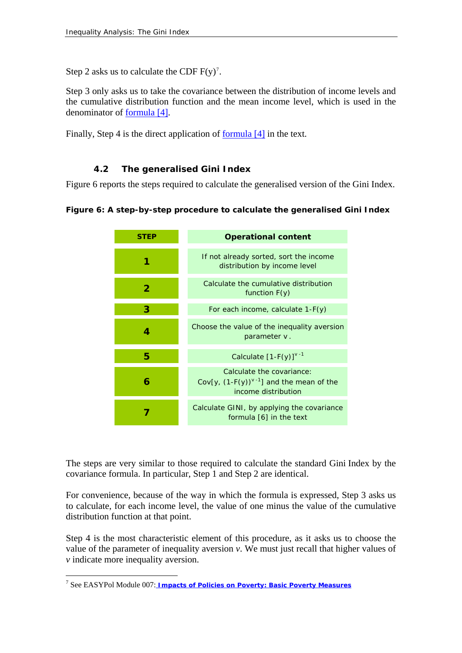Step 2 asks us to calculate the CDF  $F(y)$ <sup>[7](#page-14-0)</sup>.

Step 3 only asks us to take the covariance between the distribution of income levels and the cumulative distribution function and the mean income level, which is used in the denominator of [formula \[4\].](#page-9-0)

Finally, Step 4 is the direct application of [formula \[4\]](#page-9-0) in the text.

#### **4.2 The generalised Gini Index**

Figure 6 reports the steps required to calculate the generalised version of the Gini Index.

```
Figure 6: A step-by-step procedure to calculate the generalised Gini Index
```

| STFP | <b>Operational content</b>                                                                        |
|------|---------------------------------------------------------------------------------------------------|
|      | If not already sorted, sort the income<br>distribution by income level                            |
| 2    | Calculate the cumulative distribution<br>function $F(y)$                                          |
| 3    | For each income, calculate 1-F(y)                                                                 |
| 4    | Choose the value of the inequality aversion<br>parameter v.                                       |
| 5    | Calculate $[1-F(y)]^{V-1}$                                                                        |
| 6    | Calculate the covariance:<br>Cov[y, $(1-F(y))^{v-1}$ ] and the mean of the<br>income distribution |
|      | Calculate GINI, by applying the covariance<br>formula [6] in the text                             |

The steps are very similar to those required to calculate the standard Gini Index by the covariance formula. In particular, Step 1 and Step 2 are identical.

For convenience, because of the way in which the formula is expressed, Step 3 asks us to calculate, for each income level, the value of one minus the value of the cumulative distribution function at that point.

Step 4 is the most characteristic element of this procedure, as it asks us to choose the value of the parameter of inequality aversion *v*. We must just recall that higher values of *v* indicate more inequality aversion.

 $\overline{a}$ 

<span id="page-14-0"></span><sup>&</sup>lt;sup>7</sup> See EASYPol Module 007:<u> *Impacts of Policies on Poverty: Basic Poverty Measures*</u>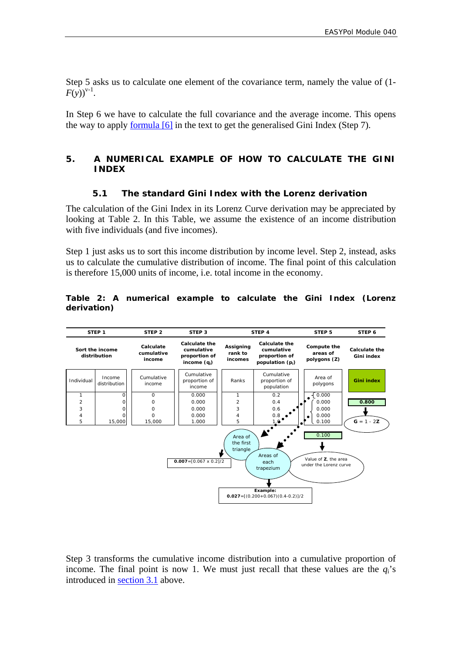Step 5 asks us to calculate one element of the covariance term, namely the value of (1-  $F(v)$ <sup>y-1</sup>.

In Step 6 we have to calculate the full covariance and the average income. This opens the way to apply [formula \[6\]](#page-9-0) in the text to get the generalised Gini Index (Step 7).

#### **5. A NUMERICAL EXAMPLE OF HOW TO CALCULATE THE GINI INDEX**

#### **5.1 The standard Gini Index with the Lorenz derivation**

The calculation of the Gini Index in its Lorenz Curve derivation may be appreciated by looking at Table 2. In this Table, we assume the existence of an income distribution with five individuals (and five incomes).

Step 1 just asks us to sort this income distribution by income level. Step 2, instead, asks us to calculate the cumulative distribution of income. The final point of this calculation is therefore 15,000 units of income, i.e. total income in the economy.

#### **Table 2: A numerical example to calculate the Gini Index (Lorenz derivation)**



Step 3 transforms the cumulative income distribution into a cumulative proportion of income. The final point is now 1. We must just recall that these values are the  $q_i$ 's introduced in [section 3.1](#page-5-2) above.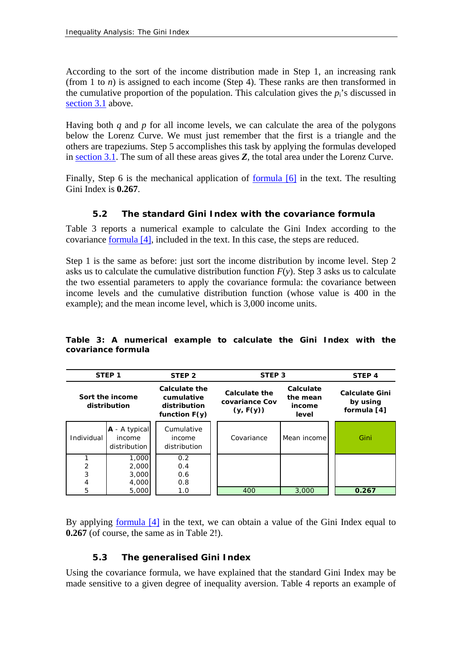According to the sort of the income distribution made in Step 1, an increasing rank (from 1 to  $n$ ) is assigned to each income (Step 4). These ranks are then transformed in the cumulative proportion of the population. This calculation gives the  $p_i$ 's discussed in [section 3.1](#page-5-2) above.

Having both *q* and *p* for all income levels, we can calculate the area of the polygons below the Lorenz Curve. We must just remember that the first is a triangle and the others are trapeziums. Step 5 accomplishes this task by applying the formulas developed in [section 3.1](#page-5-2). The sum of all these areas gives *Z*, the total area under the Lorenz Curve.

Finally, Step 6 is the mechanical application of [formula \[6\]](#page-9-0) in the text. The resulting Gini Index is **0.267**.

#### **5.2 The standard Gini Index with the covariance formula**

Table 3 reports a numerical example to calculate the Gini Index according to the covariance [formula \[4\],](#page-9-0) included in the text. In this case, the steps are reduced.

Step 1 is the same as before: just sort the income distribution by income level. Step 2 asks us to calculate the cumulative distribution function  $F(y)$ . Step 3 asks us to calculate the two essential parameters to apply the covariance formula: the covariance between income levels and the cumulative distribution function (whose value is 400 in the example); and the mean income level, which is 3,000 income units.

|                | STEP <sub>1</sub>                         | STEP <sub>2</sub>                                              | STEP <sub>3</sub>                                   |                                          | STEP <sub>4</sub>                                |
|----------------|-------------------------------------------|----------------------------------------------------------------|-----------------------------------------------------|------------------------------------------|--------------------------------------------------|
|                | Sort the income<br>distribution           | Calculate the<br>cumulative<br>distribution<br>function $F(y)$ | <b>Calculate the</b><br>covariance Cov<br>(y, F(y)) | Calculate<br>the mean<br>income<br>level | <b>Calculate Gini</b><br>by using<br>formula [4] |
| Individual     | $A - A$ typical<br>income<br>distribution | Cumulative<br>income<br>distribution                           | Covariance                                          | Mean income                              | Gini                                             |
|                | 1,000                                     | 0.2                                                            |                                                     |                                          |                                                  |
| 2              | 2,000                                     | 0.4                                                            |                                                     |                                          |                                                  |
| 3              | 3,000                                     | 0.6                                                            |                                                     |                                          |                                                  |
| $\overline{4}$ | 4,000                                     | 0.8                                                            |                                                     |                                          |                                                  |
| 5              | 5,000                                     | 1.0                                                            | 400                                                 | 3,000                                    | 0.267                                            |

**Table 3: A numerical example to calculate the Gini Index with the covariance formula** 

By applying [formula \[4\]](#page-9-0) in the text, we can obtain a value of the Gini Index equal to **0.267** (of course, the same as in Table 2!).

#### **5.3 The generalised Gini Index**

Using the covariance formula, we have explained that the standard Gini Index may be made sensitive to a given degree of inequality aversion. Table 4 reports an example of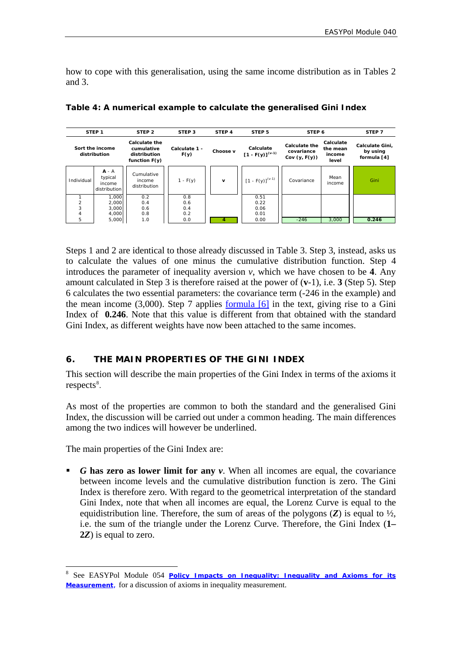how to cope with this generalisation, using the same income distribution as in Tables 2 and 3.

| STEP <sub>1</sub> |                                              | STEP <sub>2</sub>                                              | STEP <sub>3</sub>     | STEP <sub>4</sub> | STEP <sub>5</sub>                 | STEP 6                                                |                                          | STEP <sub>7</sub>                          |
|-------------------|----------------------------------------------|----------------------------------------------------------------|-----------------------|-------------------|-----------------------------------|-------------------------------------------------------|------------------------------------------|--------------------------------------------|
|                   | Sort the income<br>distribution              | Calculate the<br>cumulative<br>distribution<br>function $F(y)$ | Calculate 1 -<br>F(y) | Choose v          | Calculate<br>$[1 - F(y)]^{(v-1)}$ | <b>Calculate the</b><br>covariance<br>Cov $(y, F(y))$ | Calculate<br>the mean<br>income<br>level | Calculate Gini,<br>by using<br>formula [4] |
| Individual        | $A - A$<br>typical<br>income<br>distribution | Cumulative<br>income<br>distribution                           | $1 - F(y)$            | v                 | $[1 - F(y)]^{(v-1)}$              | Covariance                                            | Mean<br>income                           | Gini                                       |
|                   | 1,000                                        | 0.2                                                            | 0.8                   |                   | 0.51                              |                                                       |                                          |                                            |
| $\overline{2}$    | 2,000                                        | 0.4                                                            | 0.6                   |                   | 0.22                              |                                                       |                                          |                                            |
| 3                 | 3,000                                        | 0.6                                                            | 0.4                   |                   | 0.06                              |                                                       |                                          |                                            |
| 4                 | 4,000                                        | 0.8                                                            | 0.2                   |                   | 0.01                              |                                                       |                                          |                                            |
| 5                 | 5,000                                        | 1.0                                                            | 0.0                   |                   | 0.00                              | $-246$                                                | 3,000                                    | 0.246                                      |

**Table 4: A numerical example to calculate the generalised Gini Index** 

Steps 1 and 2 are identical to those already discussed in Table 3. Step 3, instead, asks us to calculate the values of one minus the cumulative distribution function. Step 4 introduces the parameter of inequality aversion  $v$ , which we have chosen to be 4. Any amount calculated in Step 3 is therefore raised at the power of (**v**-1), i.e. **3** (Step 5). Step 6 calculates the two essential parameters: the covariance term (-246 in the example) and the mean income  $(3,000)$ . Step 7 applies [formula \[6\]](#page-9-0) in the text, giving rise to a Gini Index of **0.246**. Note that this value is different from that obtained with the standard Gini Index, as different weights have now been attached to the same incomes.

#### **6. THE MAIN PROPERTIES OF THE GINI INDEX**

This section will describe the main properties of the Gini Index in terms of the axioms it  $respects<sup>8</sup>$  $respects<sup>8</sup>$  $respects<sup>8</sup>$ .

As most of the properties are common to both the standard and the generalised Gini Index, the discussion will be carried out under a common heading. The main differences among the two indices will however be underlined.

The main properties of the Gini Index are:

 $\overline{a}$ 

 *G* **has zero as lower limit for any** *v*. When all incomes are equal, the covariance between income levels and the cumulative distribution function is zero. The Gini Index is therefore zero. With regard to the geometrical interpretation of the standard Gini Index, note that when all incomes are equal, the Lorenz Curve is equal to the equidistribution line. Therefore, the sum of areas of the polygons (*Z*) is equal to ½, i.e. the sum of the triangle under the Lorenz Curve. Therefore, the Gini Index (**1– 2***Z*) is equal to zero.

<span id="page-17-0"></span><sup>8</sup> See EASYPol Module 054 *[Policy Impacts on Inequality: Inequality and Axioms for its](http://www/docs/up/easypol/447/Inqulty_axms_msrmnt_054EN.pdf)  [Measurement](http://www/docs/up/easypol/447/Inqulty_axms_msrmnt_054EN.pdf)*, for a discussion of axioms in inequality measurement.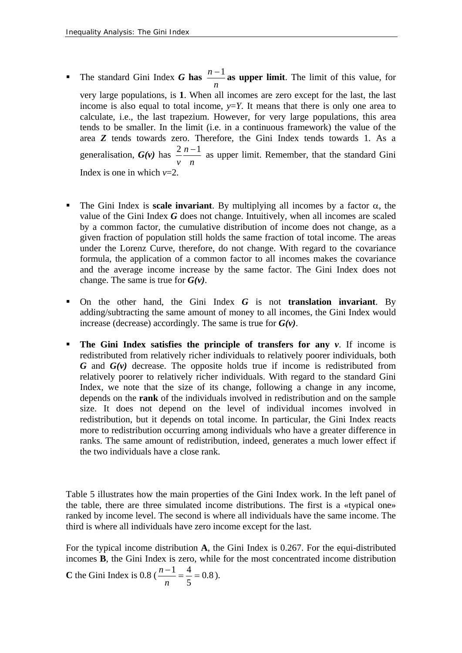- *n* **n The standard Gini Index** *G* **has**  $\frac{n-1}{n}$  **as upper limit. The limit of this value, for** very large populations, is **1**. When all incomes are zero except for the last, the last income is also equal to total income,  $y = Y$ . It means that there is only one area to calculate, i.e., the last trapezium. However, for very large populations, this area tends to be smaller. In the limit (i.e. in a continuous framework) the value of the area *Z* tends towards zero. Therefore, the Gini Index tends towards 1. As a generalisation, *G(v)* has *n n v*  $\frac{2 n-1}{2}$  as upper limit. Remember, that the standard Gini Index is one in which *v*=2.
- The Gini Index is **scale invariant**. By multiplying all incomes by a factor  $\alpha$ , the value of the Gini Index *G* does not change. Intuitively, when all incomes are scaled by a common factor, the cumulative distribution of income does not change, as a given fraction of population still holds the same fraction of total income. The areas under the Lorenz Curve, therefore, do not change. With regard to the covariance formula, the application of a common factor to all incomes makes the covariance and the average income increase by the same factor. The Gini Index does not change. The same is true for *G(v)*.
- On the other hand, the Gini Index *G* is not **translation invariant**. By adding/subtracting the same amount of money to all incomes, the Gini Index would increase (decrease) accordingly. The same is true for *G(v)*.
- **The Gini Index satisfies the principle of transfers for any**  $v$ **.** If income is redistributed from relatively richer individuals to relatively poorer individuals, both *G* and *G(v)* decrease. The opposite holds true if income is redistributed from relatively poorer to relatively richer individuals. With regard to the standard Gini Index, we note that the size of its change, following a change in any income, depends on the **rank** of the individuals involved in redistribution and on the sample size. It does not depend on the level of individual incomes involved in redistribution, but it depends on total income. In particular, the Gini Index reacts more to redistribution occurring among individuals who have a greater difference in ranks. The same amount of redistribution, indeed, generates a much lower effect if the two individuals have a close rank.

Table 5 illustrates how the main properties of the Gini Index work. In the left panel of the table, there are three simulated income distributions. The first is a «typical one» ranked by income level. The second is where all individuals have the same income. The third is where all individuals have zero income except for the last.

For the typical income distribution **A**, the Gini Index is 0.267. For the equi-distributed incomes **B**, the Gini Index is zero, while for the most concentrated income distribution **C** the Gini Index is 0.8 ( $\frac{n-1}{n} = \frac{1}{n} = 0.8$ 5  $\frac{-1}{-} = \frac{4}{-} =$ *n*  $\frac{n-1}{2} = \frac{4}{7} = 0.8$ ).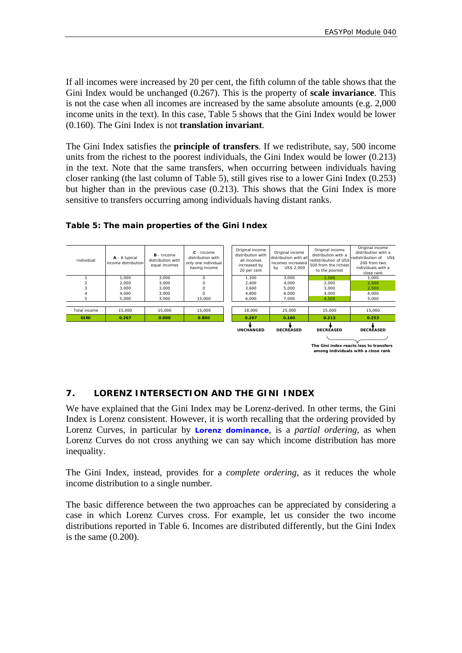If all incomes were increased by 20 per cent, the fifth column of the table shows that the Gini Index would be unchanged (0.267). This is the property of **scale invariance**. This is not the case when all incomes are increased by the same absolute amounts (e.g. 2,000 income units in the text). In this case, Table 5 shows that the Gini Index would be lower (0.160). The Gini Index is not **translation invariant**.

The Gini Index satisfies the **principle of transfers**. If we redistribute, say, 500 income units from the richest to the poorest individuals, the Gini Index would be lower (0.213) in the text. Note that the same transfers, when occurring between individuals having closer ranking (the last column of Table 5), still gives rise to a lower Gini Index (0.253) but higher than in the previous case (0.213). This shows that the Gini Index is more sensitive to transfers occurring among individuals having distant ranks.



#### **Table 5: The main properties of the Gini Index**

#### **7. LORENZ INTERSECTION AND THE GINI INDEX**

We have explained that the Gini Index may be Lorenz-derived. In other terms, the Gini Index is Lorenz consistent. However, it is worth recalling that the ordering provided by Lorenz Curves, in particular by **[Lorenz dominance](http://www.fao.org/tc/easypol/output/glossary_term.asp?id=14922)**, is a *partial ordering*, as when Lorenz Curves do not cross anything we can say which income distribution has more inequality.

The Gini Index, instead, provides for a *complete ordering*, as it reduces the whole income distribution to a single number.

The basic difference between the two approaches can be appreciated by considering a case in which Lorenz Curves cross. For example, let us consider the two income distributions reported in Table 6. Incomes are distributed differently, but the Gini Index is the same (0.200).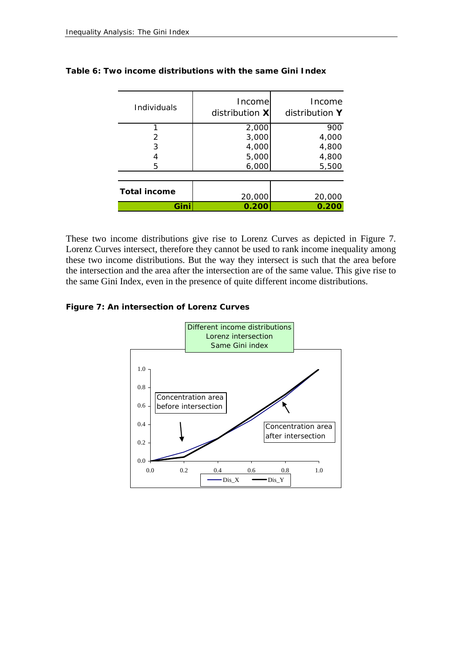| Individuals         | Income<br>distribution X | Income<br>distribution Y |
|---------------------|--------------------------|--------------------------|
|                     | 2,000                    | 900                      |
| 2                   | 3,000                    | 4,000                    |
| 3                   | 4,000                    | 4,800                    |
|                     | 5,000                    | 4,800                    |
| 5                   | 6,000                    | 5,500                    |
|                     |                          |                          |
| <b>Total income</b> | 20,000                   | 20,000                   |
| Gini                | 0.200                    | 0.200                    |

#### **Table 6: Two income distributions with the same Gini Index**

These two income distributions give rise to Lorenz Curves as depicted in Figure 7. Lorenz Curves intersect, therefore they cannot be used to rank income inequality among these two income distributions. But the way they intersect is such that the area before the intersection and the area after the intersection are of the same value. This give rise to the same Gini Index, even in the presence of quite different income distributions.

#### **Figure 7: An intersection of Lorenz Curves**

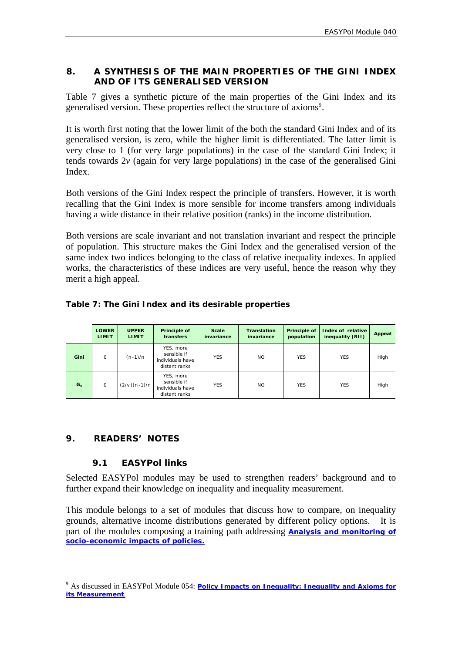#### <span id="page-21-0"></span>**8. A SYNTHESIS OF THE MAIN PROPERTIES OF THE GINI INDEX AND OF ITS GENERALISED VERSION**

Table 7 gives a synthetic picture of the main properties of the Gini Index and its generalised version. These properties reflect the structure of axioms<sup>[9](#page-21-1)</sup>.

It is worth first noting that the lower limit of the both the standard Gini Index and of its generalised version, is zero, while the higher limit is differentiated. The latter limit is very close to 1 (for very large populations) in the case of the standard Gini Index; it tends towards 2*v* (again for very large populations) in the case of the generalised Gini Index.

Both versions of the Gini Index respect the principle of transfers. However, it is worth recalling that the Gini Index is more sensible for income transfers among individuals having a wide distance in their relative position (ranks) in the income distribution.

Both versions are scale invariant and not translation invariant and respect the principle of population. This structure makes the Gini Index and the generalised version of the same index two indices belonging to the class of relative inequality indexes. In applied works, the characteristics of these indices are very useful, hence the reason why they merit a high appeal.

|       | <b>LOWER</b><br><b>LIMIT</b> | <b>UPPER</b><br><b>LIMIT</b> | Principle of<br>transfers                                     | <b>Scale</b><br>invariance | <b>Translation</b><br>invariance | Principle of<br>population | Index of relative<br>inequality (RII) | Appeal |
|-------|------------------------------|------------------------------|---------------------------------------------------------------|----------------------------|----------------------------------|----------------------------|---------------------------------------|--------|
| Gini  | 0                            | $(n-1)/n$                    | YES, more<br>sensible if<br>individuals have<br>distant ranks | <b>YES</b>                 | <b>NO</b>                        | <b>YES</b>                 | <b>YES</b>                            | High   |
| $G_v$ | 0                            | $(2/v)(n-1)/n$               | YES, more<br>sensible if<br>individuals have<br>distant ranks | <b>YES</b>                 | <b>NO</b>                        | <b>YES</b>                 | <b>YES</b>                            | High   |

#### **9. READERS' NOTES**

#### **9.1 EASYPol links**

Selected EASYPol modules may be used to strengthen readers' background and to further expand their knowledge on inequality and inequality measurement.

This module belongs to a set of modules that discuss how to compare, on inequality grounds, alternative income distributions generated by different policy options. It is part of the modules composing a training path addressing **[Analysis and monitoring of](http://faointb1/easypol/test/browse_by_training_path.asp##)  [socio-economic impacts of policies](http://faointb1/easypol/test/browse_by_training_path.asp##).**

<span id="page-21-1"></span><sup>&</sup>lt;sup>9</sup> As discussed in EASYPol Module 054: *Policy Impacts on Inequality: Inequality and Axioms for [its Measurement](http://www/docs/up/easypol/447/Inqulty_axms_msrmnt_054EN.pdf)*.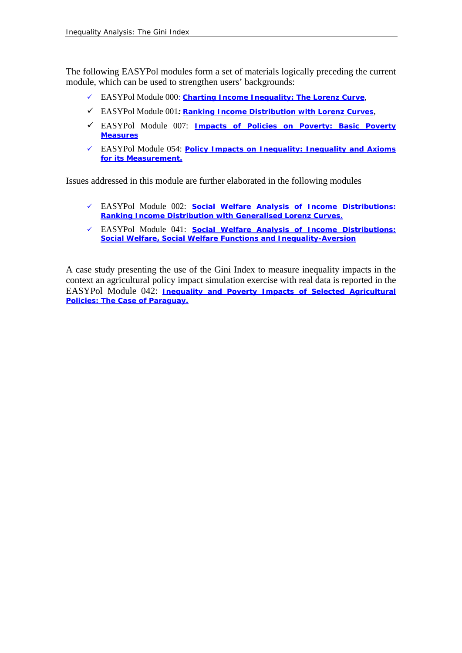The following EASYPol modules form a set of materials logically preceding the current module, which can be used to strengthen users' backgrounds:

- 9 EASYPol Module 000: *[Charting Income Inequality: The Lorenz Curve](http://www.fao.org/docs/up/easypol/302/charting_income_inequality_000EN.pdf)*[,](http://www.fao.org/docs/up/easypol/302/charting_income_inequality_000EN.pdf)
- 9 EASYPol Module 001*: [Ranking Income Distribution with Lorenz Curves](http://www.fao.org/docs/up/easypol/305/swa_lorenz_curves_001EN.pdf)*,
- 9 EASYPol Module 007: *[Impacts of Policies on Poverty: Basic Poverty](http://www.fao.org/docs/up/easypol/323/basic-pov-measures_007EN.pdf)  [Measures](http://www.fao.org/docs/up/easypol/323/basic-pov-measures_007EN.pdf)*
- 9 EASYPol Module 054: *[Policy Impacts on Inequality: Inequality and Axioms](http://www/docs/up/easypol/447/Inqulty_axms_msrmnt_054EN.pdf)  [for its Measurement.](http://www/docs/up/easypol/447/Inqulty_axms_msrmnt_054EN.pdf)*

Issues addressed in this module are further elaborated in the following modules

- 9 EASYPol Module 002: *[Social Welfare Analysis of Income Distributions:](http://www.fao.org/docs/up/easypol/306/swa_gen_lorenzcurves_002EN-1.pdf)  [Ranking Income Distribution with Generalised Lorenz Curves.](http://www.fao.org/docs/up/easypol/306/swa_gen_lorenzcurves_002EN-1.pdf)*
- 9 EASYPol Module 041: *[Social Welfare Analysis of Income Distributions:](http://www/docs/up/easypol/450/social_welfare_functions_041EN.pdf)  [Social Welfare, Social Welfare Functions and Inequality-Aversion](http://www/docs/up/easypol/450/social_welfare_functions_041EN.pdf)*

A case study presenting the use of the Gini Index to measure inequality impacts in the context an agricultural policy impact simulation exercise with real data is reported in the EASYPol Module 042: *[Inequality and Poverty Impacts of Selected Agricultural](http://www.fao.org/docs/up/easypol/320/Paraguay_CS_042EN.pdf)  [Policies: The Case of Paraguay.](http://www.fao.org/docs/up/easypol/320/Paraguay_CS_042EN.pdf)*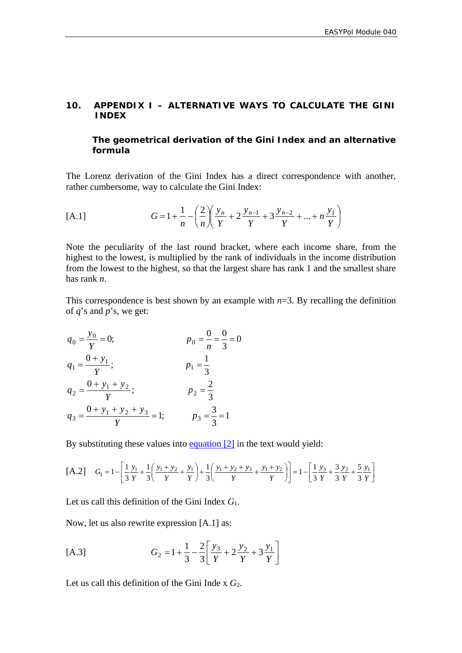#### *10.* **APPENDIX I – ALTERNATIVE WAYS TO CALCULATE THE GINI INDEX**

#### **T***he geometrical derivation of the Gini Index and an alternative formula*

The Lorenz derivation of the Gini Index has a direct correspondence with another, rather cumbersome, way to calculate the Gini Index:

[A.1] 
$$
G = 1 + \frac{1}{n} - \left(\frac{2}{n}\right)\left(\frac{y_n}{Y} + 2\frac{y_{n-1}}{Y} + 3\frac{y_{n-2}}{Y} + ... + n\frac{y_1}{Y}\right)
$$

Note the peculiarity of the last round bracket, where each income share, from the highest to the lowest, is multiplied by the rank of individuals in the income distribution from the lowest to the highest, so that the largest share has rank 1 and the smallest share has rank *n*.

This correspondence is best shown by an example with  $n=3$ . By recalling the definition of *q*'s and *p*'s, we get:

$$
q_0 = \frac{y_0}{Y} = 0; \t p_0 = \frac{0}{n} = \frac{0}{3} = 0
$$
  
\n
$$
q_1 = \frac{0 + y_1}{Y}; \t p_1 = \frac{1}{3}
$$
  
\n
$$
q_2 = \frac{0 + y_1 + y_2}{Y}; \t p_2 = \frac{2}{3}
$$
  
\n
$$
q_3 = \frac{0 + y_1 + y_2 + y_3}{Y} = 1; \t p_3 = \frac{3}{3} = 1
$$

By substituting these values into  $\frac{equation [2]}{2}$  in the text would yield:

$$
[A.2] \quad G_1 = 1 - \left[ \frac{1}{3} \frac{y_1}{Y} + \frac{1}{3} \left( \frac{y_1 + y_2}{Y} + \frac{y_1}{Y} \right) + \frac{1}{3} \left( \frac{y_1 + y_2 + y_3}{Y} + \frac{y_1 + y_2}{Y} \right) \right] = 1 - \left[ \frac{1}{3} \frac{y_3}{Y} + \frac{3}{3} \frac{y_2}{Y} + \frac{5}{3} \frac{y_1}{Y} \right]
$$

Let us call this definition of the Gini Index *G*1.

Now, let us also rewrite expression [A.1] as:

[A.3] 
$$
G_2 = 1 + \frac{1}{3} - \frac{2}{3} \left[ \frac{y_3}{Y} + 2 \frac{y_2}{Y} + 3 \frac{y_1}{Y} \right]
$$

Let us call this definition of the Gini Inde x *G*2.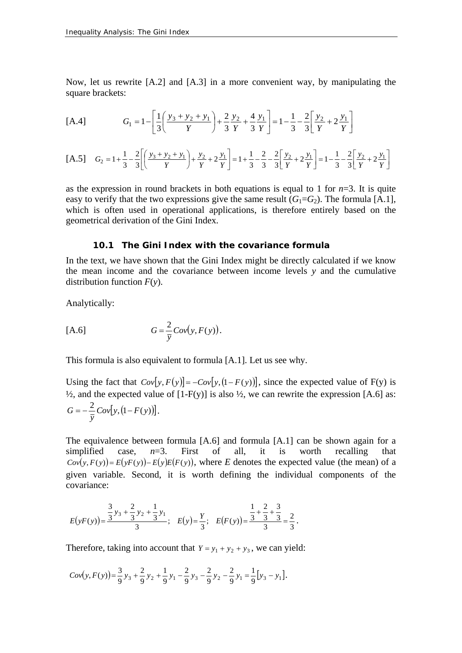Now, let us rewrite [A.2] and [A.3] in a more convenient way, by manipulating the square brackets:

[A.4] 
$$
G_1 = 1 - \left[ \frac{1}{3} \left( \frac{y_3 + y_2 + y_1}{Y} \right) + \frac{2}{3} \frac{y_2}{Y} + \frac{4}{3} \frac{y_1}{Y} \right] = 1 - \frac{1}{3} - \frac{2}{3} \left[ \frac{y_2}{Y} + 2 \frac{y_1}{Y} \right]
$$

$$
\text{[A.5]} \quad G_2 = 1 + \frac{1}{3} - \frac{2}{3} \left[ \left( \frac{y_3 + y_2 + y_1}{Y} \right) + \frac{y_2}{Y} + 2 \frac{y_1}{Y} \right] = 1 + \frac{1}{3} - \frac{2}{3} - \frac{2}{3} \left[ \frac{y_2}{Y} + 2 \frac{y_1}{Y} \right] = 1 - \frac{1}{3} - \frac{2}{3} \left[ \frac{y_2}{Y} + 2 \frac{y_1}{Y} \right]
$$

as the expression in round brackets in both equations is equal to 1 for  $n=3$ . It is quite easy to verify that the two expressions give the same result  $(G_1 = G_2)$ . The formula [A.1], which is often used in operational applications, is therefore entirely based on the geometrical derivation of the Gini Index.

#### **10.1 The Gini Index with the covariance formula**

In the text, we have shown that the Gini Index might be directly calculated if we know the mean income and the covariance between income levels *y* and the cumulative distribution function *F*(*y*).

Analytically:

$$
[A.6] \tG = \frac{2}{\overline{y}}Cov(y, F(y)).
$$

This formula is also equivalent to formula [A.1]. Let us see why.

Using the fact that  $Cov[y, F(y)] = -Cov[y, (1 - F(y))]$ , since the expected value of F(y) is  $\frac{1}{2}$ , and the expected value of [1-F(y)] is also  $\frac{1}{2}$ , we can rewrite the expression [A.6] as:  $\frac{2}{5}Cov[y, (1 - F(y))]$ *y*  $G = -\frac{2}{\pi}Cov[y,(1-F(y))].$ 

The equivalence between formula [A.6] and formula [A.1] can be shown again for a simplified case,  $n=3$ . First of all, it is worth recalling that  $Cov(y, F(y)) = E(yF(y)) - E(y)E(F(y))$ , where *E* denotes the expected value (the mean) of a given variable. Second, it is worth defining the individual components of the covariance:

$$
E(yF(y)) = \frac{\frac{3}{3}y_3 + \frac{2}{3}y_2 + \frac{1}{3}y_1}{3}; \quad E(y) = \frac{y}{3}; \quad E(F(y)) = \frac{\frac{1}{3} + \frac{2}{3} + \frac{3}{3}}{\frac{3}{3}} = \frac{2}{3}.
$$

Therefore, taking into account that  $Y = y_1 + y_2 + y_3$ , we can yield:

$$
Cov(y, F(y)) = \frac{3}{9}y_3 + \frac{2}{9}y_2 + \frac{1}{9}y_1 - \frac{2}{9}y_3 - \frac{2}{9}y_2 - \frac{2}{9}y_1 = \frac{1}{9}[y_3 - y_1].
$$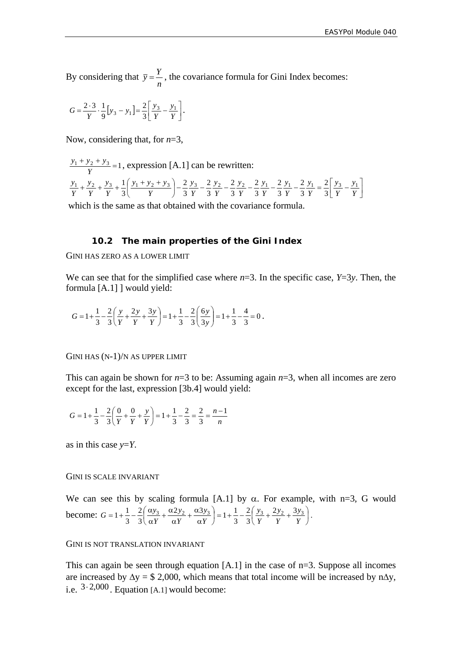*n* By considering that  $\bar{y} = \frac{Y}{Y}$ , the covariance formula for Gini Index becomes:

$$
G = \frac{2 \cdot 3}{Y} \cdot \frac{1}{9} [y_3 - y_1] = \frac{2}{3} \left[ \frac{y_3}{Y} - \frac{y_1}{Y} \right].
$$

Now, considering that, for *n*=3,

 $\frac{y_1 + y_2 + y_3}{Y}$  = 1, expression [A.1] can be rewritten:  $\left(\frac{y_1 + y_2 + y_3}{Y}\right) - \frac{2}{3}\frac{y_3}{Y} - \frac{2}{3}\frac{y_2}{Y} - \frac{2}{3}\frac{y_2}{Y} - \frac{2}{3}\frac{y_1}{Y} - \frac{2}{3}\frac{y_1}{Y} - \frac{2}{3}\frac{y_1}{Y} = \frac{2}{3}\left[\frac{y_3}{Y} - \frac{y_1}{Y}\right]$ ⎝  $+\frac{y_2}{Y}+\frac{y_3}{Y}+\frac{1}{3}\left(\frac{y_1+y_2+y_3}{Y}\right)-\frac{2}{3}\frac{y_3}{Y}-\frac{2}{3}\frac{y_2}{Y}-\frac{2}{3}\frac{y_2}{Y}-\frac{2}{3}\frac{y_1}{Y}-\frac{2}{3}\frac{y_1}{Y}-\frac{2}{3}\frac{y_1}{Y}=\frac{2}{3}\left|\frac{y_3}{Y}-\frac{y_2}{Y}\right|$ *y Y y Y y Y y Y y Y y Y y Y y Y*  $y_1 + y_2 + y_1$ *Y y Y y Y*  $y_1$ ,  $y_2$ ,  $y_3$ ,  $1(y_1 + y_2 + y_3)$  2  $y_3$  2  $y_2$  2  $y_2$  2  $y_1$  2  $y_1$  2  $y_1$  2  $y_1$  2  $y_3$   $y_1$ 3 2 3 2 3 2 3 2 3 2 3 2 3 2 3 1

which is the same as that obtained with the covariance formula.

#### **10.2 The main properties of the Gini Index**

GINI HAS ZERO AS A LOWER LIMIT

We can see that for the simplified case where  $n=3$ . In the specific case,  $Y=3y$ . Then, the formula [A.1] ] would yield:

$$
G = 1 + \frac{1}{3} - \frac{2}{3} \left( \frac{y}{Y} + \frac{2y}{Y} + \frac{3y}{Y} \right) = 1 + \frac{1}{3} - \frac{2}{3} \left( \frac{6y}{3y} \right) = 1 + \frac{1}{3} - \frac{4}{3} = 0.
$$

GINI HAS (N-1)/N AS UPPER LIMIT

This can again be shown for *n*=3 to be: Assuming again *n*=3, when all incomes are zero except for the last, expression [3b.4] would yield:

$$
G = 1 + \frac{1}{3} - \frac{2}{3} \left( \frac{0}{Y} + \frac{0}{Y} + \frac{y}{Y} \right) = 1 + \frac{1}{3} - \frac{2}{3} = \frac{2}{3} = \frac{n-1}{n}
$$

as in this case *y*=*Y*.

#### GINI IS SCALE INVARIANT

We can see this by scaling formula [A.1] by  $\alpha$ . For example, with n=3, G would become:  $G = 1 + \frac{1}{2} - \frac{2}{3} \left[ \frac{\alpha y_3}{y_3} + \frac{\alpha z y_2}{y_3} + \frac{\alpha z y_3}{y_3} \right] = 1 + \frac{1}{2} - \frac{2}{3} \left[ \frac{y_3}{y_3} + \frac{z y_2}{y_3} + \frac{z y_3}{y_3} \right]$ ⎠  $\left(\frac{y_3}{y_1} + \frac{2y_2}{y_2} + \frac{3y_3}{y_3}\right)$  $\left(\frac{\alpha y_3}{\alpha Y}+\frac{\alpha 2 y_2}{\alpha Y}+\frac{\alpha 3 y_3}{\alpha Y}\right)=1+\frac{1}{3}-\frac{2}{3}\left(\frac{y_3}{Y}+\frac{2 y_2}{Y}+\frac{y_3}{\alpha Y}\right)$ ⎝ ⎛ α  $\frac{\alpha 2 y_2}{\alpha Y} + \frac{\alpha}{\alpha}$  $\frac{\alpha y_3}{\alpha Y} + \frac{\alpha}{\alpha}$  $=1+\frac{1}{2}-\frac{2}{2}$  $\frac{\alpha}{2}$ *Y y Y y Y y Y y Y y*  $G = 1 + \frac{1}{3} - \frac{2}{3} \left( \frac{\alpha y_3}{\alpha Y} + \frac{\alpha 2 y_2}{\alpha Y} + \frac{\alpha 3 y_3}{\alpha Y} \right) = 1 + \frac{1}{3} - \frac{2}{3} \left( \frac{y_3}{Y} + \frac{2 y_2}{Y} + \frac{3 y_3}{Y} \right)$ 2  $\frac{2}{3}\left(\frac{\alpha y_3}{\alpha Y}+\frac{\alpha 2 y_2}{\alpha Y}+\frac{\alpha 3 y_3}{\alpha Y}\right)=1+\frac{1}{3}$ 2  $1 + \frac{1}{3} - \frac{2}{3} \left( \frac{\alpha y_3}{\alpha Y} + \frac{\alpha 2 y_2}{\alpha Y} + \frac{\alpha 3 y_3}{\alpha Y} \right) = 1 + \frac{1}{3} - \frac{2}{3} \left( \frac{y_3}{Y} + \frac{2 y_2}{Y} + \frac{3 y_3}{Y} \right).$ 

GINI IS NOT TRANSLATION INVARIANT

This can again be seen through equation [A.1] in the case of n=3. Suppose all incomes are increased by  $\Delta y =$  \$ 2,000, which means that total income will be increased by n $\Delta y$ , i.e.  $3 \cdot 2,000$ . Equation [A.1] would become: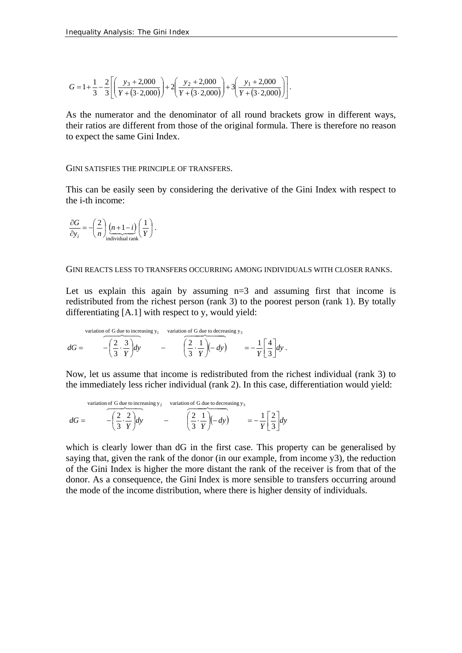$$
G = 1 + \frac{1}{3} - \frac{2}{3} \left[ \left( \frac{y_3 + 2,000}{Y + (3 \cdot 2,000)} \right) + 2 \left( \frac{y_2 + 2,000}{Y + (3 \cdot 2,000)} \right) + 3 \left( \frac{y_1 + 2,000}{Y + (3 \cdot 2,000)} \right) \right].
$$

As the numerator and the denominator of all round brackets grow in different ways, their ratios are different from those of the original formula. There is therefore no reason to expect the same Gini Index.

#### GINI SATISFIES THE PRINCIPLE OF TRANSFERS.

This can be easily seen by considering the derivative of the Gini Index with respect to the i-th income:

$$
\frac{\partial G}{\partial y_i} = -\left(\frac{2}{n}\right) \underbrace{(n+1-i)}_{\text{individual rank}} \left(\frac{1}{Y}\right).
$$

#### GINI REACTS LESS TO TRANSFERS OCCURRING AMONG INDIVIDUALS WITH CLOSER RANKS.

Let us explain this again by assuming  $n=3$  and assuming first that income is redistributed from the richest person (rank 3) to the poorest person (rank 1). By totally differentiating [A.1] with respect to y, would yield:

variation of G due to increasing y<sub>1</sub> variation of G due to decreasing y<sub>3</sub>  

$$
dG = \begin{pmatrix} \frac{2}{3} \cdot \frac{3}{Y} dy \\ 0 \end{pmatrix} dy - \begin{pmatrix} \frac{2}{3} \cdot \frac{1}{Y} (-dy) \\ 0 \end{pmatrix} = -\frac{1}{Y} \begin{bmatrix} \frac{4}{3} \\ 0 \end{bmatrix} dy.
$$

Now, let us assume that income is redistributed from the richest individual (rank 3) to the immediately less richer individual (rank 2). In this case, differentiation would yield:

variation of G due to increasing y<sub>2</sub> variation of G due to decreasing y<sub>3</sub>  
\n
$$
dG = -\left(\frac{2}{3} \cdot \frac{2}{Y}\right) dy - \left(\frac{2}{3} \cdot \frac{1}{Y}\right) (- dy) = -\frac{1}{Y} \left[\frac{2}{3}\right] dy
$$

which is clearly lower than dG in the first case. This property can be generalised by saying that, given the rank of the donor (in our example, from income  $y3$ ), the reduction of the Gini Index is higher the more distant the rank of the receiver is from that of the donor. As a consequence, the Gini Index is more sensible to transfers occurring around the mode of the income distribution, where there is higher density of individuals.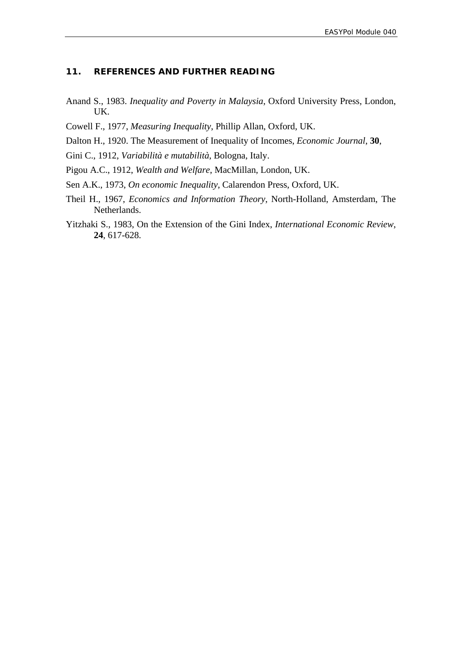#### **11. REFERENCES AND FURTHER READING**

- Anand S., 1983. *Inequality and Poverty in Malaysia*, Oxford University Press, London, UK.
- Cowell F., 1977, *Measuring Inequality*, Phillip Allan, Oxford, UK.
- Dalton H., 1920. The Measurement of Inequality of Incomes, *Economic Journal*, **30**,
- Gini C., 1912, *Variabilità e mutabilità*, Bologna, Italy.
- Pigou A.C., 1912, *Wealth and Welfare*, MacMillan, London, UK.
- Sen A.K., 1973, *On economic Inequality*, Calarendon Press, Oxford, UK.
- Theil H., 1967, *Economics and Information Theory*, North-Holland, Amsterdam, The Netherlands.
- Yitzhaki S., 1983, On the Extension of the Gini Index, *International Economic Review*, **24**, 617-628.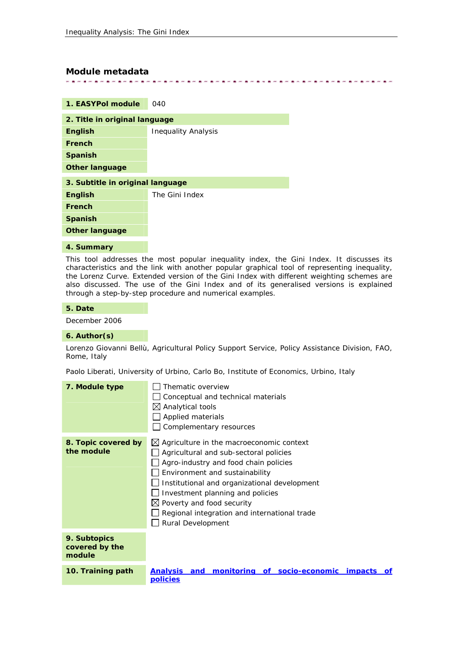#### **Module metadata**

. . . . . . . . . . . . . . . . . . . 

| 040                              |  |  |  |  |
|----------------------------------|--|--|--|--|
| 2. Title in original language    |  |  |  |  |
| <b>Inequality Analysis</b>       |  |  |  |  |
|                                  |  |  |  |  |
|                                  |  |  |  |  |
|                                  |  |  |  |  |
| 3. Subtitle in original language |  |  |  |  |
| The Gini Index                   |  |  |  |  |
|                                  |  |  |  |  |
|                                  |  |  |  |  |
|                                  |  |  |  |  |
|                                  |  |  |  |  |

#### **4. Summary**

This tool addresses the most popular inequality index, the Gini Index. It discusses its characteristics and the link with another popular graphical tool of representing inequality, the Lorenz Curve. Extended version of the Gini Index with different weighting schemes are also discussed. The use of the Gini Index and of its generalised versions is explained through a step-by-step procedure and numerical examples.

#### **5. Date**

December 2006

#### **6. Author(s)**

Lorenzo Giovanni Bellù, Agricultural Policy Support Service, Policy Assistance Division, FAO, Rome, Italy

Paolo Liberati, University of Urbino, Carlo Bo, Institute of Economics, Urbino, Italy

| 7. Module type                           | Thematic overview<br>Conceptual and technical materials<br>$\boxtimes$ Analytical tools<br>Applied materials<br>Complementary resources                                                                                                                                                                                                                                     |
|------------------------------------------|-----------------------------------------------------------------------------------------------------------------------------------------------------------------------------------------------------------------------------------------------------------------------------------------------------------------------------------------------------------------------------|
| 8. Topic covered by<br>the module        | $\boxtimes$ Agriculture in the macroeconomic context<br>Agricultural and sub-sectoral policies<br>Agro-industry and food chain policies<br>Environment and sustainability<br>Institutional and organizational development<br>Investment planning and policies<br>$\boxtimes$ Poverty and food security<br>Regional integration and international trade<br>Rural Development |
| 9. Subtopics<br>covered by the<br>module |                                                                                                                                                                                                                                                                                                                                                                             |
| 10. Training path                        | monitoring of socio-economic impacts<br><b>Analysis</b><br>and<br>of.<br><b>policies</b>                                                                                                                                                                                                                                                                                    |